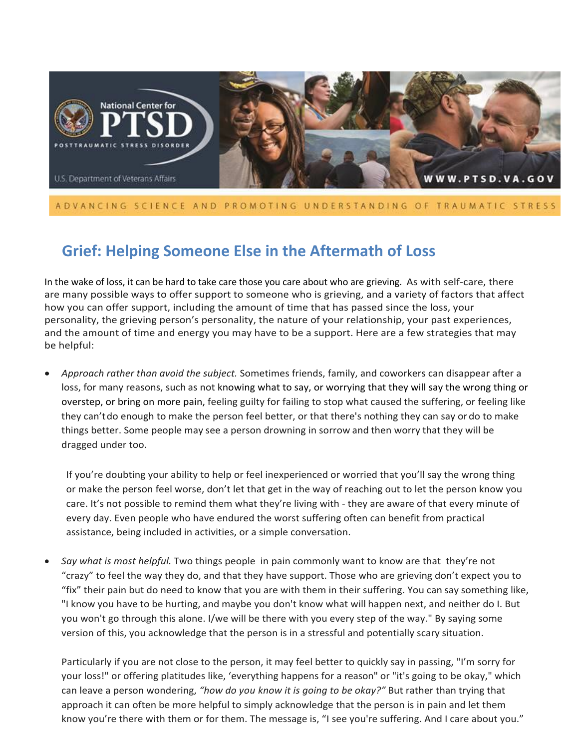

## ADVANCING SCIENCE AND PROMOTING UNDERSTANDING OF TRAUMATIC STRESS

# **Grief: Helping Someone Else in the Aftermath of Loss**

In the wake of loss, it can be hard to take care those you care about who are grieving. As with self-care, there are many possible ways to offer support to someone who is grieving, and a variety of factors that affect how you can offer support, including the amount of time that has passed since the loss, your personality, the grieving person's personality, the nature of your relationship, your past experiences, and the amount of time and energy you may have to be a support. Here are a few strategies that may be helpful:

• *Approach rather than avoid the subject.* Sometimes friends, family, and coworkers can disappear after a loss, for many reasons, such as not knowing what to say, or worrying that they will say the wrong thing or overstep, or bring on more pain, feeling guilty for failing to stop what caused the suffering, or feeling like they can'tdo enough to make the person feel better, or that there's nothing they can say ordo to make things better. Some people may see a person drowning in sorrow and then worry that they will be dragged under too.

If you're doubting your ability to help or feel inexperienced or worried that you'll say the wrong thing or make the person feel worse, don't let that get in the way of reaching out to let the person know you care. It's not possible to remind them what they're living with - they are aware of that every minute of every day. Even people who have endured the worst suffering often can benefit from practical assistance, being included in activities, or a simple conversation.

• *Say what is most helpful.* Two things people in pain commonly want to know are that they're not "crazy" to feel the way they do, and that they have support. Those who are grieving don't expect you to "fix" their pain but do need to know that you are with them in their suffering. You can say something like, "I know you have to be hurting, and maybe you don't know what will happen next, and neither do I. But you won't go through this alone. I/we will be there with you every step of the way." By saying some version of this, you acknowledge that the person is in a stressful and potentially scary situation.

Particularly if you are not close to the person, it may feel better to quickly say in passing, "I'm sorry for your loss!" or offering platitudes like, 'everything happens for a reason" or "it's going to be okay," which can leave a person wondering, *"how do you know it is going to be okay?"* But rather than trying that approach it can often be more helpful to simply acknowledge that the person is in pain and let them know you're there with them or for them. The message is, "I see you're suffering. And I care about you."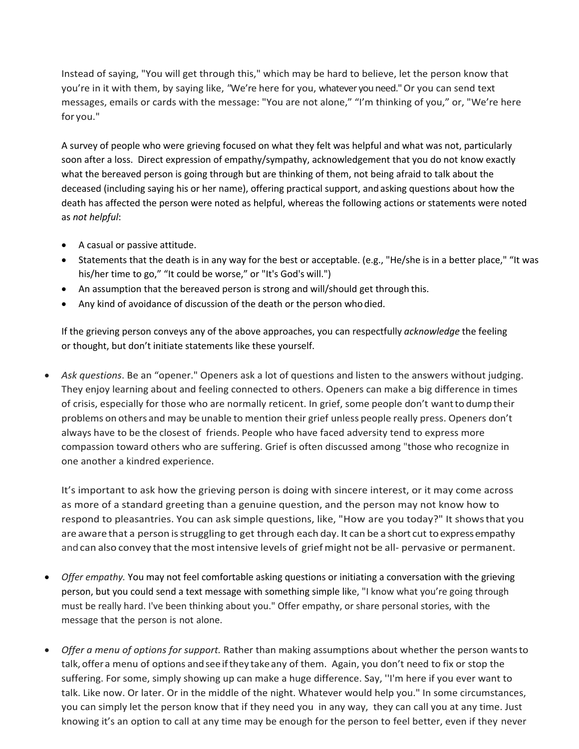Instead of saying, "You will get through this," which may be hard to believe, let the person know that you're in it with them, by saying like, *"*We're here for you, whatever you need." Or you can send text messages, emails or cards with the message: "You are not alone," "I'm thinking of you," or, "We're here for you."

A survey of people who were grieving focused on what they felt was helpful and what was not, particularly soon after a loss. Direct expression of empathy/sympathy, acknowledgement that you do not know exactly what the bereaved person is going through but are thinking of them, not being afraid to talk about the deceased (including saying his or her name), offering practical support, and asking questions about how the death has affected the person were noted as helpful, whereas the following actions or statements were noted as *not helpful*:

- A casual or passive attitude.
- Statements that the death is in any way for the best or acceptable. (e.g., "He/she is in a better place," "It was his/her time to go," "It could be worse," or "It's God's will.")
- An assumption that the bereaved person is strong and will/should get through this.
- Any kind of avoidance of discussion of the death or the person who died.

If the grieving person conveys any of the above approaches, you can respectfully *acknowledge* the feeling or thought, but don't initiate statements like these yourself.

• *Ask questions*. Be an "opener." Openers ask a lot of questions and listen to the answers without judging. They enjoy learning about and feeling connected to others. Openers can make a big difference in times of crisis, especially for those who are normally reticent. In grief, some people don't wantto dump their problems on others and may beunable to mention their grief unless people really press. Openers don't always have to be the closest of friends. People who have faced adversity tend to express more compassion toward others who are suffering. Grief is often discussed among "those who recognize in one another a kindred experience.

It's important to ask how the grieving person is doing with sincere interest, or it may come across as more of a standard greeting than a genuine question, and the person may not know how to respond to pleasantries. You can ask simple questions, like, "How are you today?" It showsthat you are aware that a person is struggling to get through each day. It can be a short cut to express empathy and can also convey that the most intensive levels of grief might not be all- pervasive or permanent.

- *Offer empathy.* You may not feel comfortable asking questions or initiating a conversation with the grieving person, but you could send a text message with something simple like, "I know what you're going through must be really hard. I've been thinking about you." Offer empathy, or share personal stories, with the message that the person is not alone.
- *Offer a menu of options for support.* Rather than making assumptions about whether the person wantsto talk, offera menu of options andsee ifthey takeany of them. Again, you don't need to fix or stop the suffering. For some, simply showing up can make a huge difference. Say, ''I'm here if you ever want to talk. Like now. Or later. Or in the middle of the night. Whatever would help you." In some circumstances, you can simply let the person know that if they need you in any way, they can call you at any time. Just knowing it's an option to call at any time may be enough for the person to feel better, even if they never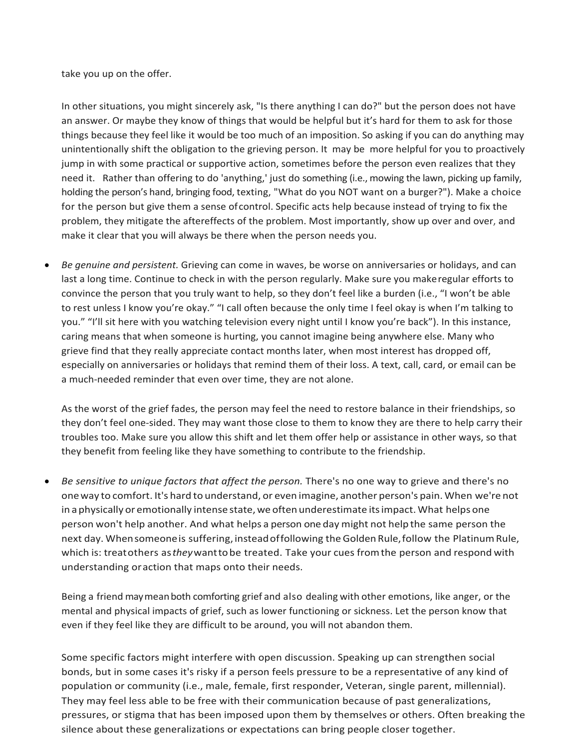take you up on the offer.

In other situations, you might sincerely ask, "Is there anything I can do?" but the person does not have an answer. Or maybe they know of things that would be helpful but it's hard for them to ask for those things because they feel like it would be too much of an imposition. So asking if you can do anything may unintentionally shift the obligation to the grieving person. It may be more helpful for you to proactively jump in with some practical or supportive action, sometimes before the person even realizes that they need it. Rather than offering to do 'anything,' just do something (i.e., mowing the lawn, picking up family, holding the person's hand, bringing food, texting, "What do you NOT want on a burger?"). Make a choice for the person but give them a sense ofcontrol. Specific acts help because instead of trying to fix the problem, they mitigate the aftereffects of the problem. Most importantly, show up over and over, and make it clear that you will always be there when the person needs you.

• *Be genuine and persistent.* Grieving can come in waves, be worse on anniversaries or holidays, and can last a long time. Continue to check in with the person regularly. Make sure you makeregular efforts to convince the person that you truly want to help, so they don't feel like a burden (i.e., "I won't be able to rest unless I know you're okay." "I call often because the only time I feel okay is when I'm talking to you." "I'll sit here with you watching television every night until I know you're back"). In this instance, caring means that when someone is hurting, you cannot imagine being anywhere else. Many who grieve find that they really appreciate contact months later, when most interest has dropped off, especially on anniversaries or holidays that remind them of their loss. A text, call, card, or email can be a much-needed reminder that even over time, they are not alone.

As the worst of the grief fades, the person may feel the need to restore balance in their friendships, so they don't feel one-sided. They may want those close to them to know they are there to help carry their troubles too. Make sure you allow this shift and let them offer help or assistance in other ways, so that they benefit from feeling like they have something to contribute to the friendship.

• *Be sensitive to unique factors that affect the person.* There's no one way to grieve and there's no oneway to comfort. It's hard to understand, or even imagine, another person's pain. When we're not in a physically or emotionally intense state, we often underestimate its impact. What helps one person won't help another. And what helps a person one day might not help the same person the next day. Whensomeoneis suffering, insteadoffollowing theGoldenRule,follow the PlatinumRule, which is: treatothers as*they*wanttobe treated. Take your cues fromthe person and respond with understanding oraction that maps onto their needs.

Being a friend maymeanboth comforting grief and also dealing with other emotions, like anger, or the mental and physical impacts of grief, such as lower functioning or sickness. Let the person know that even if they feel like they are difficult to be around, you will not abandon them.

Some specific factors might interfere with open discussion. Speaking up can strengthen social bonds, but in some cases it's risky if a person feels pressure to be a representative of any kind of population or community (i.e., male, female, first responder, Veteran, single parent, millennial). They may feel less able to be free with their communication because of past generalizations, pressures, or stigma that has been imposed upon them by themselves or others. Often breaking the silence about these generalizations or expectations can bring people closer together.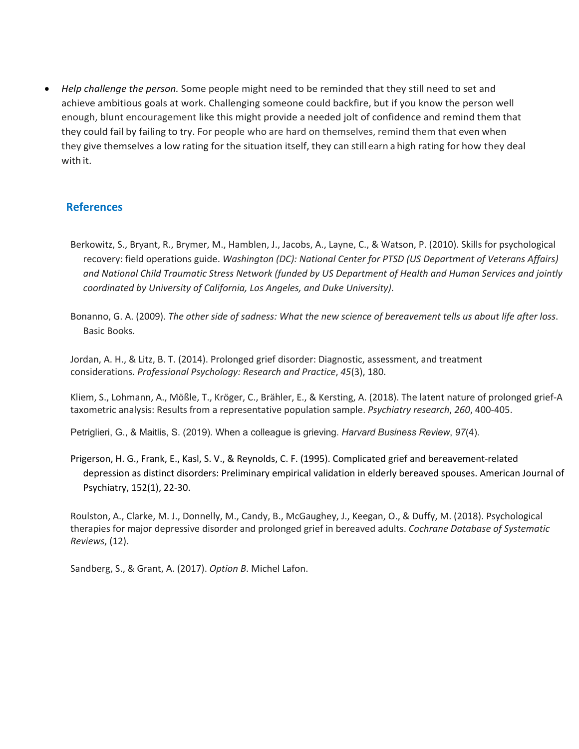• *Help challenge the person.* Some people might need to be reminded that they still need to set and achieve ambitious goals at work. Challenging someone could backfire, but if you know the person well enough, blunt encouragement like this might provide a needed jolt of confidence and remind them that they could fail by failing to try. For people who are hard on themselves, remind them that even when they give themselves a low rating for the situation itself, they can still earn a high rating for how they deal with it.

### **References**

- Berkowitz, S., Bryant, R., Brymer, M., Hamblen, J., Jacobs, A., Layne, C., & Watson, P. (2010). Skills for psychological recovery: field operations guide. *Washington (DC): National Center for PTSD (US Department of Veterans Affairs) and National Child Traumatic Stress Network (funded by US Department of Health and Human Services and jointly coordinated by University of California, Los Angeles, and Duke University)*.
- Bonanno, G. A. (2009). *The other side of sadness: What the new science of bereavement tells us about life after loss*. Basic Books.

Jordan, A. H., & Litz, B. T. (2014). Prolonged grief disorder: Diagnostic, assessment, and treatment considerations. *Professional Psychology: Research and Practice*, *45*(3), 180.

Kliem, S., Lohmann, A., Mößle, T., Kröger, C., Brähler, E., & Kersting, A. (2018). The latent nature of prolonged grief-A taxometric analysis: Results from a representative population sample. *Psychiatry research*, *260*, 400-405.

Petriglieri, G., & Maitlis, S. (2019). When a colleague is grieving. *Harvard Business Review*, *97*(4).

Prigerson, H. G., Frank, E., Kasl, S. V., & Reynolds, C. F. (1995). Complicated grief and bereavement-related depression as distinct disorders: Preliminary empirical validation in elderly bereaved spouses. American Journal of Psychiatry, 152(1), 22-30.

Roulston, A., Clarke, M. J., Donnelly, M., Candy, B., McGaughey, J., Keegan, O., & Duffy, M. (2018). Psychological therapies for major depressive disorder and prolonged grief in bereaved adults. *Cochrane Database of Systematic Reviews*, (12).

Sandberg, S., & Grant, A. (2017). *Option B*. Michel Lafon.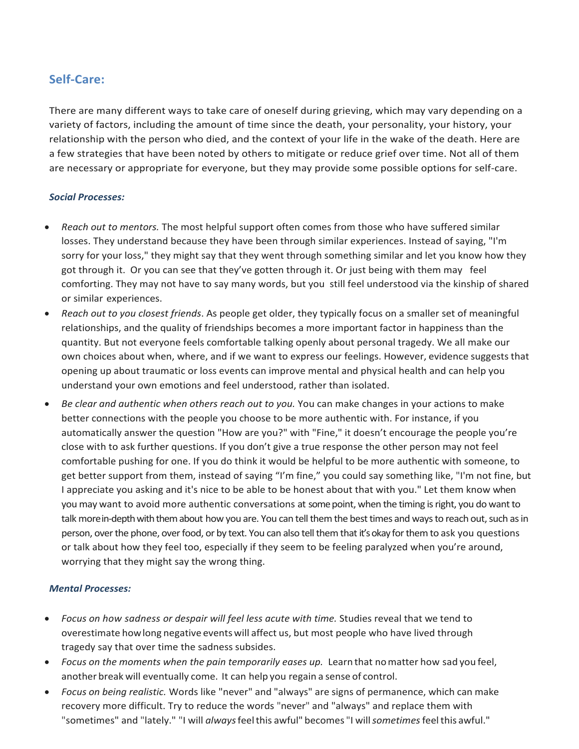# **Self-Care:**

There are many different ways to take care of oneself during grieving, which may vary depending on a variety of factors, including the amount of time since the death, your personality, your history, your relationship with the person who died, and the context of your life in the wake of the death. Here are a few strategies that have been noted by others to mitigate or reduce grief over time. Not all of them are necessary or appropriate for everyone, but they may provide some possible options for self-care.

### *Social Processes:*

- *Reach out to mentors.* The most helpful support often comes from those who have suffered similar losses. They understand because they have been through similar experiences. Instead of saying, "I'm sorry for your loss," they might say that they went through something similar and let you know how they got through it. Or you can see that they've gotten through it. Or just being with them may feel comforting. They may not have to say many words, but you still feel understood via the kinship of shared or similar experiences.
- *Reach out to you closest friends*. As people get older, they typically focus on a smaller set of meaningful relationships, and the quality of friendships becomes a more important factor in happiness than the quantity. But not everyone feels comfortable talking openly about personal tragedy. We all make our own choices about when, where, and if we want to express our feelings. However, evidence suggests that opening up about traumatic or loss events can improve mental and physical health and can help you understand your own emotions and feel understood, rather than isolated.
- *Be clear and authentic when others reach out to you.* You can make changes in your actions to make better connections with the people you choose to be more authentic with. For instance, if you automatically answer the question "How are you?" with "Fine," it doesn't encourage the people you're close with to ask further questions. If you don't give a true response the other person may not feel comfortable pushing for one. If you do think it would be helpful to be more authentic with someone, to get better support from them, instead of saying "I'm fine," you could say something like, "I'm not fine, but I appreciate you asking and it's nice to be able to be honest about that with you." Let them know when you may want to avoid more authentic conversations at some point, when the timing is right, you do want to talk morein-depth with them about how you are. You can tell them the best times and ways to reach out, such as in person, over the phone, over food, or by text. You can also tell them that it's okay for them to ask you questions or talk about how they feel too, especially if they seem to be feeling paralyzed when you're around, worrying that they might say the wrong thing.

#### *Mental Processes:*

- *Focus on how sadness or despair will feel less acute with time.* Studies reveal that we tend to overestimate howlong negative eventswill affect us, but most people who have lived through tragedy say that over time the sadness subsides.
- *Focus on the moments when the pain temporarily eases up.* Learn that nomatter how sad you feel, another break will eventually come. It can help you regain a sense of control.
- *Focus on being realistic.* Words like "never" and "always" are signs of permanence, which can make recovery more difficult. Try to reduce the words "never" and "always" and replace them with "sometimes" and "lately." "I will *always*feelthis awful" becomes "I will*sometimes*feelthis awful."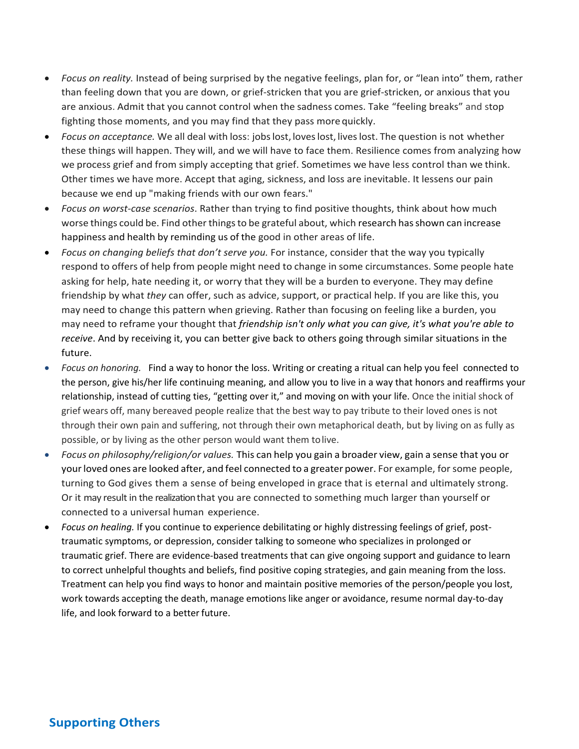- *Focus on reality.* Instead of being surprised by the negative feelings, plan for, or "lean into" them, rather than feeling down that you are down, or grief-stricken that you are grief-stricken, or anxious that you are anxious. Admit that you cannot control when the sadness comes. Take "feeling breaks" and stop fighting those moments, and you may find that they pass more quickly.
- *Focus on acceptance.* We all deal with loss: jobslost, loveslost, liveslost. The question is not whether these things will happen. They will, and we will have to face them. Resilience comes from analyzing how we process grief and from simply accepting that grief. Sometimes we have less control than we think. Other times we have more. Accept that aging, sickness, and loss are inevitable. It lessens our pain because we end up "making friends with our own fears."
- *Focus on worst-case scenarios*. Rather than trying to find positive thoughts, think about how much worse things could be. Find other things to be grateful about, which research has shown can increase happiness and health by reminding us of the good in other areas of life.
- *Focus on changing beliefs that don't serve you.* For instance, consider that the way you typically respond to offers of help from people might need to change in some circumstances. Some people hate asking for help, hate needing it, or worry that they will be a burden to everyone. They may define friendship by what *they* can offer, such as advice, support, or practical help. If you are like this, you may need to change this pattern when grieving. Rather than focusing on feeling like a burden, you may need to reframe your thought that *friendship isn't only what you can give, it's what you're able to receive*. And by receiving it, you can better give back to others going through similar situations in the future.
- *Focus on honoring.* Find a way to honor the loss. Writing or creating a ritual can help you feel connected to the person, give his/her life continuing meaning, and allow you to live in a way that honors and reaffirms your relationship, instead of cutting ties, "getting over it," and moving on with your life. Once the initial shock of grief wears off, many bereaved people realize that the best way to pay tribute to their loved ones is not through their own pain and suffering, not through their own metaphorical death, but by living on as fully as possible, or by living as the other person would want them tolive.
- *Focus on philosophy/religion/or values.* This can help you gain a broader view, gain a sense that you or yourloved ones are looked after, and feel connected to a greater power. For example, for some people, turning to God gives them a sense of being enveloped in grace that is eternal and ultimately strong. Or it may result in the realization that you are connected to something much larger than yourself or connected to a universal human experience.
- *Focus on healing.* If you continue to experience debilitating or highly distressing feelings of grief, posttraumatic symptoms, or depression, consider talking to someone who specializes in prolonged or traumatic grief. There are evidence-based treatments that can give ongoing support and guidance to learn to correct unhelpful thoughts and beliefs, find positive coping strategies, and gain meaning from the loss. Treatment can help you find ways to honor and maintain positive memories of the person/people you lost, work towards accepting the death, manage emotions like anger or avoidance, resume normal day-to-day life, and look forward to a better future.

# **Supporting Others**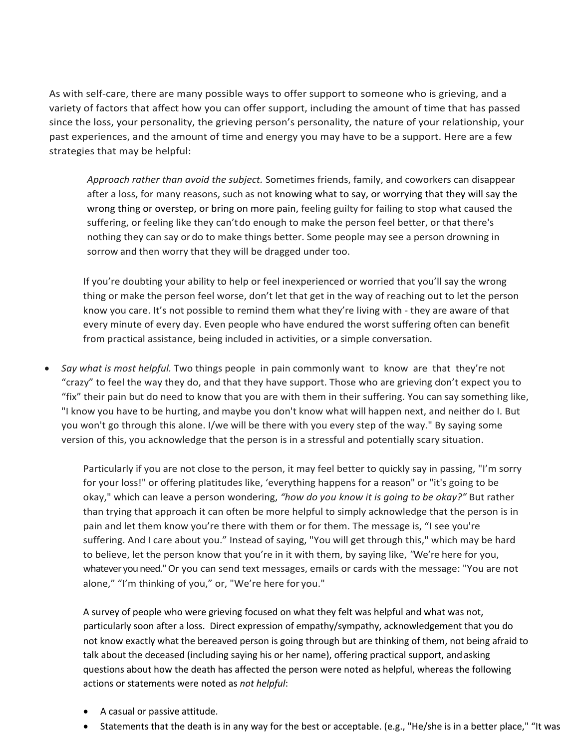As with self-care, there are many possible ways to offer support to someone who is grieving, and a variety of factors that affect how you can offer support, including the amount of time that has passed since the loss, your personality, the grieving person's personality, the nature of your relationship, your past experiences, and the amount of time and energy you may have to be a support. Here are a few strategies that may be helpful:

 *Approach rather than avoid the subject.* Sometimes friends, family, and coworkers can disappear after a loss, for many reasons, such as not knowing what to say, or worrying that they will say the wrong thing or overstep, or bring on more pain, feeling guilty for failing to stop what caused the suffering, or feeling like they can'tdo enough to make the person feel better, or that there's nothing they can say ordo to make things better. Some people may see a person drowning in sorrow and then worry that they will be dragged under too.

If you're doubting your ability to help or feel inexperienced or worried that you'll say the wrong thing or make the person feel worse, don't let that get in the way of reaching out to let the person know you care. It's not possible to remind them what they're living with - they are aware of that every minute of every day. Even people who have endured the worst suffering often can benefit from practical assistance, being included in activities, or a simple conversation.

• *Say what is most helpful.* Two things people in pain commonly want to know are that they're not "crazy" to feel the way they do, and that they have support. Those who are grieving don't expect you to "fix" their pain but do need to know that you are with them in their suffering. You can say something like, "I know you have to be hurting, and maybe you don't know what will happen next, and neither do I. But you won't go through this alone. I/we will be there with you every step of the way." By saying some version of this, you acknowledge that the person is in a stressful and potentially scary situation.

Particularly if you are not close to the person, it may feel better to quickly say in passing, "I'm sorry for your loss!" or offering platitudes like, 'everything happens for a reason" or "it's going to be okay," which can leave a person wondering, *"how do you know it is going to be okay?"* But rather than trying that approach it can often be more helpful to simply acknowledge that the person is in pain and let them know you're there with them or for them. The message is, "I see you're suffering. And I care about you." Instead of saying, "You will get through this," which may be hard to believe, let the person know that you're in it with them, by saying like, *"*We're here for you, whatever you need." Or you can send text messages, emails or cards with the message: "You are not alone," "I'm thinking of you," or, "We're here for you."

A survey of people who were grieving focused on what they felt was helpful and what was not, particularly soon after a loss. Direct expression of empathy/sympathy, acknowledgement that you do not know exactly what the bereaved person is going through but are thinking of them, not being afraid to talk about the deceased (including saying his or her name), offering practical support, andasking questions about how the death has affected the person were noted as helpful, whereas the following actions or statements were noted as *not helpful*:

- A casual or passive attitude.
- Statements that the death is in any way for the best or acceptable. (e.g., "He/she is in a better place," "It was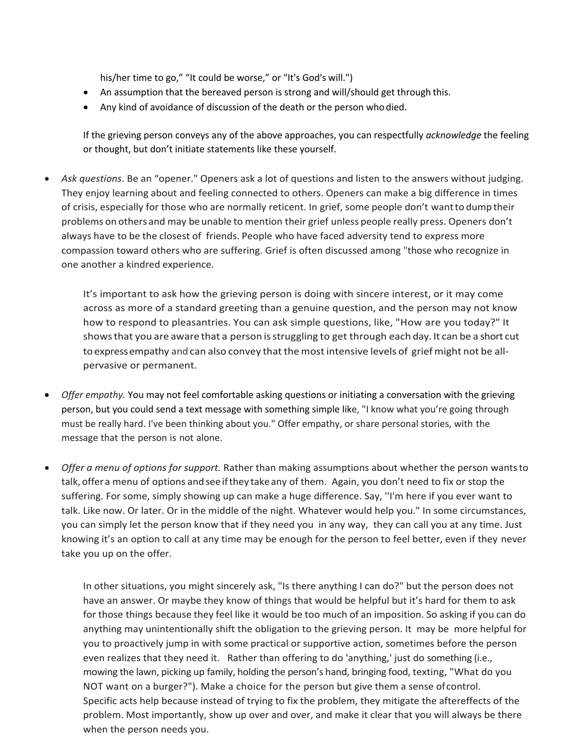his/her time to go," "It could be worse," or "It's God's will.")

- An assumption that the bereaved person is strong and will/should get through this.
- Any kind of avoidance of discussion of the death or the person whodied.

If the grieving person conveys any of the above approaches, you can respectfully *acknowledge* the feeling or thought, but don't initiate statements like these yourself.

• *Ask questions*. Be an "opener." Openers ask a lot of questions and listen to the answers without judging. They enjoy learning about and feeling connected to others. Openers can make a big difference in times of crisis, especially for those who are normally reticent. In grief, some people don't wantto dump their problems on others and may beunable to mention their grief unless people really press. Openers don't always have to be the closest of friends. People who have faced adversity tend to express more compassion toward others who are suffering. Grief is often discussed among "those who recognize in one another a kindred experience.

It's important to ask how the grieving person is doing with sincere interest, or it may come across as more of a standard greeting than a genuine question, and the person may not know how to respond to pleasantries. You can ask simple questions, like, "How are you today?" It showsthat you are aware that a person isstruggling to get through each day. It can be a short cut to express empathy and can also convey that the most intensive levels of grief might not be allpervasive or permanent.

- *Offer empathy.* You may not feel comfortable asking questions or initiating a conversation with the grieving person, but you could send a text message with something simple like, "I know what you're going through must be really hard. I've been thinking about you." Offer empathy, or share personal stories, with the message that the person is not alone.
- *Offer a menu of options for support.* Rather than making assumptions about whether the person wantsto talk, offera menu of options andsee ifthey takeany of them. Again, you don't need to fix or stop the suffering. For some, simply showing up can make a huge difference. Say, ''I'm here if you ever want to talk. Like now. Or later. Or in the middle of the night. Whatever would help you." In some circumstances, you can simply let the person know that if they need you in any way, they can call you at any time. Just knowing it's an option to call at any time may be enough for the person to feel better, even if they never take you up on the offer.

In other situations, you might sincerely ask, "Is there anything I can do?" but the person does not have an answer. Or maybe they know of things that would be helpful but it's hard for them to ask for those things because they feel like it would be too much of an imposition. So asking if you can do anything may unintentionally shift the obligation to the grieving person. It may be more helpful for you to proactively jump in with some practical or supportive action, sometimes before the person even realizes that they need it. Rather than offering to do 'anything,' just do something (i.e., mowing the lawn, picking up family, holding the person's hand, bringing food, texting, "What do you NOT want on a burger?"). Make a choice for the person but give them a sense ofcontrol. Specific acts help because instead of trying to fix the problem, they mitigate the aftereffects of the problem. Most importantly, show up over and over, and make it clear that you will always be there when the person needs you.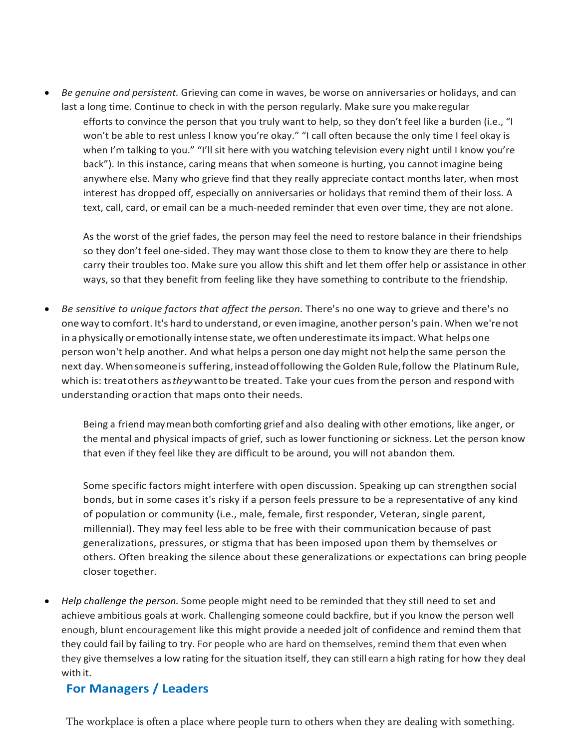• *Be genuine and persistent.* Grieving can come in waves, be worse on anniversaries or holidays, and can last a long time. Continue to check in with the person regularly. Make sure you makeregular efforts to convince the person that you truly want to help, so they don't feel like a burden (i.e., "I won't be able to rest unless I know you're okay." "I call often because the only time I feel okay is when I'm talking to you." "I'll sit here with you watching television every night until I know you're back"). In this instance, caring means that when someone is hurting, you cannot imagine being anywhere else. Many who grieve find that they really appreciate contact months later, when most interest has dropped off, especially on anniversaries or holidays that remind them of their loss. A text, call, card, or email can be a much-needed reminder that even over time, they are not alone.

As the worst of the grief fades, the person may feel the need to restore balance in their friendships so they don't feel one-sided. They may want those close to them to know they are there to help carry their troubles too. Make sure you allow this shift and let them offer help or assistance in other ways, so that they benefit from feeling like they have something to contribute to the friendship.

• *Be sensitive to unique factors that affect the person.* There's no one way to grieve and there's no oneway to comfort. It's hard to understand, or even imagine, another person's pain. When we're not in a physically or emotionally intense state, we often underestimate its impact. What helps one person won't help another. And what helps a person one day might not help the same person the next day. Whensomeone is suffering, instead offollowing the Golden Rule, follow the Platinum Rule, which is: treatothers as*they*wanttobe treated. Take your cues fromthe person and respond with understanding oraction that maps onto their needs.

Being a friend maymeanboth comforting grief and also dealing with other emotions, like anger, or the mental and physical impacts of grief, such as lower functioning or sickness. Let the person know that even if they feel like they are difficult to be around, you will not abandon them.

Some specific factors might interfere with open discussion. Speaking up can strengthen social bonds, but in some cases it's risky if a person feels pressure to be a representative of any kind of population or community (i.e., male, female, first responder, Veteran, single parent, millennial). They may feel less able to be free with their communication because of past generalizations, pressures, or stigma that has been imposed upon them by themselves or others. Often breaking the silence about these generalizations or expectations can bring people closer together.

• *Help challenge the person.* Some people might need to be reminded that they still need to set and achieve ambitious goals at work. Challenging someone could backfire, but if you know the person well enough, blunt encouragement like this might provide a needed jolt of confidence and remind them that they could fail by failing to try. For people who are hard on themselves, remind them that even when they give themselves a low rating for the situation itself, they can still earn a high rating for how they deal with it.

# **For Managers / Leaders**

The workplace is often a place where people turn to others when they are dealing with something.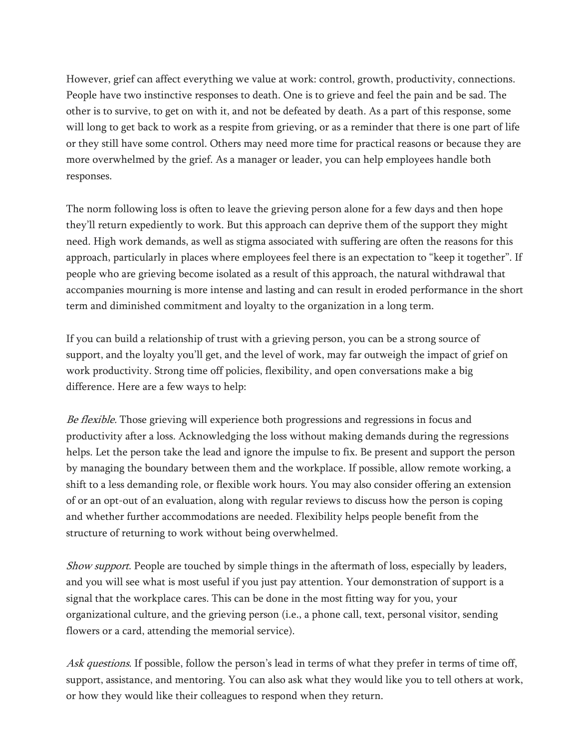However, grief can affect everything we value at work: control, growth, productivity, connections. People have two instinctive responses to death. One is to grieve and feel the pain and be sad. The other is to survive, to get on with it, and not be defeated by death. As a part of this response, some will long to get back to work as a respite from grieving, or as a reminder that there is one part of life or they still have some control. Others may need more time for practical reasons or because they are more overwhelmed by the grief. As a manager or leader, you can help employees handle both responses.

The norm following loss is often to leave the grieving person alone for a few days and then hope they'll return expediently to work. But this approach can deprive them of the support they might need. High work demands, as well as stigma associated with suffering are often the reasons for this approach, particularly in places where employees feel there is an expectation to "keep it together". If people who are grieving become isolated as a result of this approach, the natural withdrawal that accompanies mourning is more intense and lasting and can result in eroded performance in the short term and diminished commitment and loyalty to the organization in a long term.

If you can build a relationship of trust with a grieving person, you can be a strong source of support, and the loyalty you'll get, and the level of work, may far outweigh the impact of grief on work productivity. Strong time off policies, flexibility, and open conversations make a big difference. Here are a few ways to help:

Be flexible. Those grieving will experience both progressions and regressions in focus and productivity after a loss. Acknowledging the loss without making demands during the regressions helps. Let the person take the lead and ignore the impulse to fix. Be present and support the person by managing the boundary between them and the workplace. If possible, allow remote working, a shift to a less demanding role, or flexible work hours. You may also consider offering an extension of or an opt-out of an evaluation, along with regular reviews to discuss how the person is coping and whether further accommodations are needed. Flexibility helps people benefit from the structure of returning to work without being overwhelmed.

Show support. People are touched by simple things in the aftermath of loss, especially by leaders, and you will see what is most useful if you just pay attention. Your demonstration of support is a signal that the workplace cares. This can be done in the most fitting way for you, your organizational culture, and the grieving person (i.e., a phone call, text, personal visitor, sending flowers or a card, attending the memorial service).

Ask questions. If possible, follow the person's lead in terms of what they prefer in terms of time off, support, assistance, and mentoring. You can also ask what they would like you to tell others at work, or how they would like their colleagues to respond when they return.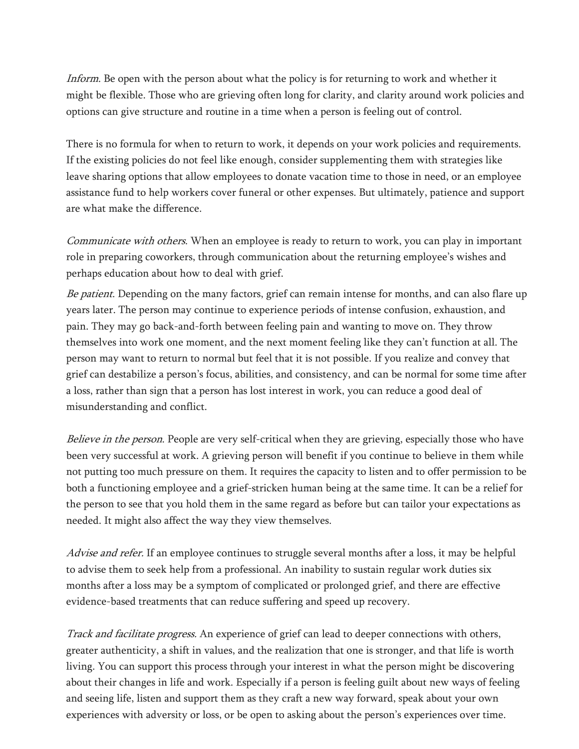Inform. Be open with the person about what the policy is for returning to work and whether it might be flexible. Those who are grieving often long for clarity, and clarity around work policies and options can give structure and routine in a time when a person is feeling out of control.

There is no formula for when to return to work, it depends on your work policies and requirements. If the existing policies do not feel like enough, consider supplementing them with strategies like leave sharing options that allow employees to donate vacation time to those in need, or an employee assistance fund to help workers cover funeral or other expenses. But ultimately, patience and support are what make the difference.

Communicate with others. When an employee is ready to return to work, you can play in important role in preparing coworkers, through communication about the returning employee's wishes and perhaps education about how to deal with grief.

Be patient. Depending on the many factors, grief can remain intense for months, and can also flare up years later. The person may continue to experience periods of intense confusion, exhaustion, and pain. They may go back-and-forth between feeling pain and wanting to move on. They throw themselves into work one moment, and the next moment feeling like they can't function at all. The person may want to return to normal but feel that it is not possible. If you realize and convey that grief can destabilize a person's focus, abilities, and consistency, and can be normal for some time after a loss, rather than sign that a person has lost interest in work, you can reduce a good deal of misunderstanding and conflict.

Believe in the person. People are very self-critical when they are grieving, especially those who have been very successful at work. A grieving person will benefit if you continue to believe in them while not putting too much pressure on them. It requires the capacity to listen and to offer permission to be both a functioning employee and a grief-stricken human being at the same time. It can be a relief for the person to see that you hold them in the same regard as before but can tailor your expectations as needed. It might also affect the way they view themselves.

Advise and refer. If an employee continues to struggle several months after a loss, it may be helpful to advise them to seek help from a professional. An inability to sustain regular work duties six months after a loss may be a symptom of complicated or prolonged grief, and there are effective evidence-based treatments that can reduce suffering and speed up recovery.

Track and facilitate progress. An experience of grief can lead to deeper connections with others, greater authenticity, a shift in values, and the realization that one is stronger, and that life is worth living. You can support this process through your interest in what the person might be discovering about their changes in life and work. Especially if a person is feeling guilt about new ways of feeling and seeing life, listen and support them as they craft a new way forward, speak about your own experiences with adversity or loss, or be open to asking about the person's experiences over time.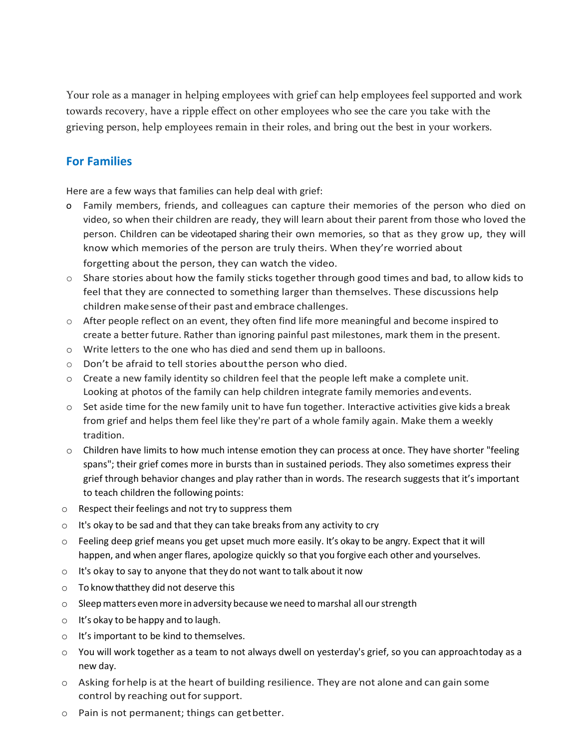Your role as a manager in helping employees with grief can help employees feel supported and work towards recovery, have a ripple effect on other employees who see the care you take with the grieving person, help employees remain in their roles, and bring out the best in your workers.

# **For Families**

Here are a few ways that families can help deal with grief:

- o Family members, friends, and colleagues can capture their memories of the person who died on video, so when their children are ready, they will learn about their parent from those who loved the person. Children can be videotaped sharing their own memories, so that as they grow up, they will know which memories of the person are truly theirs. When they're worried about forgetting about the person, they can watch the video.
- $\circ$  Share stories about how the family sticks together through good times and bad, to allow kids to feel that they are connected to something larger than themselves. These discussions help children makesense oftheir past and embrace challenges.
- $\circ$  After people reflect on an event, they often find life more meaningful and become inspired to create a better future. Rather than ignoring painful past milestones, mark them in the present.
- o Write letters to the one who has died and send them up in balloons.
- o Don't be afraid to tell stories aboutthe person who died.
- o Create a new family identity so children feel that the people left make a complete unit. Looking at photos of the family can help children integrate family memories andevents.
- $\circ$  Set aside time for the new family unit to have fun together. Interactive activities give kids a break from grief and helps them feel like they're part of a whole family again. Make them a weekly tradition.
- $\circ$  Children have limits to how much intense emotion they can process at once. They have shorter "feeling spans"; their grief comes more in bursts than in sustained periods. They also sometimes express their grief through behavior changes and play rather than in words. The research suggests that it's important to teach children the following points:
- $\circ$  Respect their feelings and not try to suppress them
- $\circ$  It's okay to be sad and that they can take breaks from any activity to cry
- $\circ$  Feeling deep grief means you get upset much more easily. It's okay to be angry. Expect that it will happen, and when anger flares, apologize quickly so that you forgive each other and yourselves.
- $\circ$  It's okay to say to anyone that they do not want to talk about it now
- o To knowthatthey did not deserve this
- $\circ$  Sleep matters even more in adversity because we need to marshal all our strength
- o It's okay to be happy and to laugh.
- o It's important to be kind to themselves.
- o You will work together as a team to not always dwell on yesterday's grief, so you can approachtoday as a new day.
- o Asking forhelp is at the heart of building resilience. They are not alone and can gain some control by reaching out for support.
- o Pain is not permanent; things can getbetter.